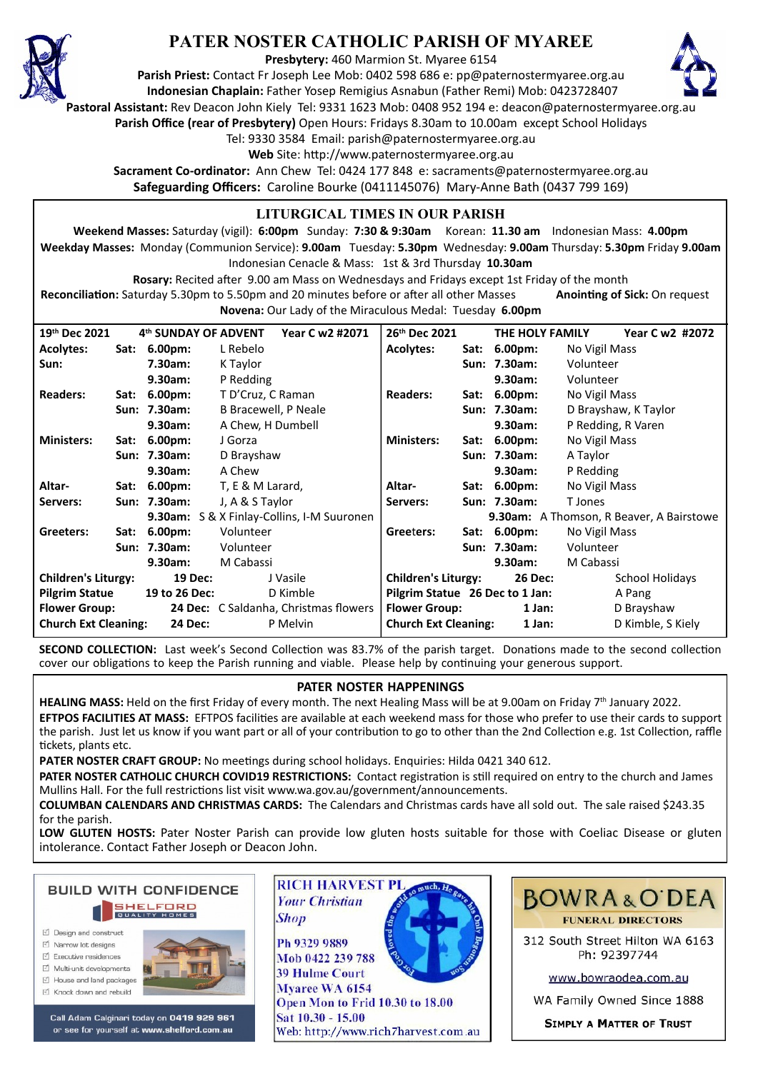

## **PATER NOSTER CATHOLIC PARISH OF MYAREE**

**Presbytery:** 460 Marmion St. Myaree 6154

**Parish Priest:** Contact Fr Joseph Lee Mob: 0402 598 686 e: pp@paternostermyaree.org.au **Indonesian Chaplain:** Father Yosep Remigius Asnabun (Father Remi) Mob: 0423728407



**Pastoral Assistant:** Rev Deacon John Kiely Tel: 9331 1623 Mob: 0408 952 194 e: deacon@paternostermyaree.org.au

**Parish Office (rear of Presbytery)** Open Hours: Fridays 8.30am to 10.00am except School Holidays

Tel: 9330 3584 Email: parish@paternostermyaree.org.au

Web Site: http://www.paternostermyaree.org.au

**Sacrament Co-ordinator:** Ann Chew Tel: 0424 177 848 e: sacraments@paternostermyaree.org.au **Safeguarding Officers:** Caroline Bourke (0411145076) Mary-Anne Bath (0437 799 169)

## **LITURGICAL TIMES IN OUR PARISH**

**Weekend Masses:** Saturday (vigil): **6:00pm** Sunday: **7:30 & 9:30am** Korean: **11.30 am** Indonesian Mass: **4.00pm Weekday Masses:** Monday (Communion Service): **9.00am** Tuesday: **5.30pm** Wednesday: **9.00am** Thursday: **5.30pm** Friday **9.00am** Indonesian Cenacle & Mass: 1st & 3rd Thursday **10.30am**

**Rosary:** Recited a�er 9.00 am Mass on Wednesdays and Fridays except 1st Friday of the month Reconciliation: Saturday 5.30pm to 5.50pm and 20 minutes before or after all other Masses **Anointing of Sick:** On request

**Novena:** Our Lady of the Miraculous Medal: Tuesday **6.00pm**

| 19th Dec 2021                                             |      | 4th SUNDAY OF ADVENT | Year C w2 #2071                                   | 26 <sup>th</sup> Dec 2021       | THE HOLY FAMILY | Year C w2 #2072                          |
|-----------------------------------------------------------|------|----------------------|---------------------------------------------------|---------------------------------|-----------------|------------------------------------------|
| <b>Acolytes:</b>                                          |      | Sat: 6.00pm:         | L Rebelo                                          | <b>Acolytes:</b>                | Sat: 6.00pm:    | No Vigil Mass                            |
| Sun:                                                      |      | 7.30am:              | K Taylor                                          |                                 | Sun: 7.30am:    | Volunteer                                |
|                                                           |      | 9.30am:              | P Redding                                         |                                 | 9.30am:         | Volunteer                                |
| <b>Readers:</b>                                           | Sat: | $6.00pm$ :           | T D'Cruz, C Raman                                 | <b>Readers:</b>                 | Sat: 6.00pm:    | No Vigil Mass                            |
|                                                           |      | Sun: 7.30am:         | B Bracewell, P Neale                              |                                 | Sun: 7.30am:    | D Brayshaw, K Taylor                     |
|                                                           |      | 9.30am:              | A Chew, H Dumbell                                 |                                 | 9.30am:         | P Redding, R Varen                       |
| <b>Ministers:</b>                                         | Sat: | $6.00pm$ :           | J Gorza                                           | <b>Ministers:</b>               | Sat: 6.00pm:    | No Vigil Mass                            |
|                                                           |      | Sun: 7.30am:         | D Brayshaw                                        |                                 | Sun: 7.30am:    | A Taylor                                 |
|                                                           |      | 9.30am:              | A Chew                                            |                                 | 9.30am:         | P Redding                                |
| Altar-                                                    | Sat: | $6.00pm$ :           | T, E & M Larard,                                  | Altar-<br>Sat:                  | $6.00pm$ :      | No Vigil Mass                            |
| Servers:                                                  |      | Sun: 7.30am:         | J, A & S Taylor                                   | Servers:                        | Sun: 7.30am:    | T Jones                                  |
|                                                           |      |                      | <b>9.30am:</b> S & X Finlay-Collins, I-M Suuronen |                                 |                 | 9.30am: A Thomson, R Beaver, A Bairstowe |
| Greeters:                                                 |      | Sat: 6.00pm:         | Volunteer                                         | Greeters:                       | Sat: 6.00pm:    | No Vigil Mass                            |
|                                                           |      | Sun: 7.30am:         | Volunteer                                         |                                 | Sun: 7.30am:    | Volunteer                                |
|                                                           |      | 9.30am:              | M Cabassi                                         |                                 | 9.30am:         | M Cabassi                                |
| <b>Children's Liturgy:</b>                                |      | 19 Dec:              | J Vasile                                          | <b>Children's Liturgy:</b>      | <b>26 Dec:</b>  | School Holidays                          |
| <b>Pilgrim Statue</b>                                     |      | 19 to 26 Dec:        | D Kimble                                          | Pilgrim Statue 26 Dec to 1 Jan: |                 | A Pang                                   |
| <b>Flower Group:</b>                                      |      |                      | <b>24 Dec:</b> C Saldanha, Christmas flowers      | <b>Flower Group:</b>            | 1 Jan:          | D Brayshaw                               |
| <b>Church Ext Cleaning:</b><br><b>24 Dec:</b><br>P Melvin |      |                      |                                                   | <b>Church Ext Cleaning:</b>     | 1 Jan:          | D Kimble, S Kiely                        |

**SECOND COLLECTION:** Last week's Second Collection was 83.7% of the parish target. Donations made to the second collection cover our obligations to keep the Parish running and viable. Please help by continuing your generous support.

## **PATER NOSTER HAPPENINGS**

HEALING MASS: Held on the first Friday of every month. The next Healing Mass will be at 9.00am on Friday 7<sup>th</sup> January 2022. **EFTPOS FACILITIES AT MASS:** EFTPOS facili�es are available at each weekend mass for those who prefer to use their cards to support the parish. Just let us know if you want part or all of your contribution to go to other than the 2nd Collection e.g. 1st Collection, raffle tickets, plants etc.

**PATER NOSTER CRAFT GROUP:** No meetings during school holidays. Enquiries: Hilda 0421 340 612.

PATER NOSTER CATHOLIC CHURCH COVID19 RESTRICTIONS: Contact registration is still required on entry to the church and James Mullins Hall. For the full restrictions list visit www.wa.gov.au/government/announcements.

**COLUMBAN CALENDARS AND CHRISTMAS CARDS:** The Calendars and Christmas cards have all sold out. The sale raised \$243.35 for the parish.

**LOW GLUTEN HOSTS:** Pater Noster Parish can provide low gluten hosts suitable for those with Coeliac Disease or gluten intolerance. Contact Father Joseph or Deacon John.



- M Narrow Int designe
- $\triangledown$  Executive residences
- Multi-unit developments
- M House and land packages
- ☑ Knock down and rebuild



Call Adam Calginari today on 0419 929 961 or see for yourself at www.shelford.com.au



Mob 0422 239 788 **39 Hulme Court** Mvaree WA 6154 Open Mon to Frid 10.30 to 18.00 Sat 10.30 - 15.00 Web: http://www.rich7harvest.com.au



312 South Street Hilton WA 6163 Ph: 92397744

www.bowraodea.com.au

WA Family Owned Since 1888

**SIMPLY A MATTER OF TRUST**